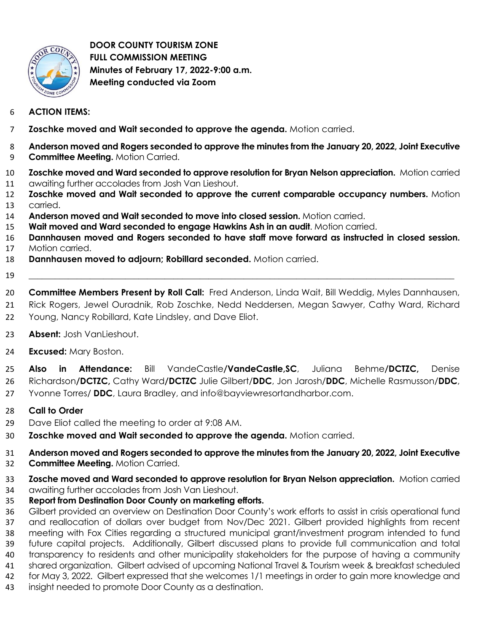

 **DOOR COUNTY TOURISM ZONE FULL COMMISSION MEETING Minutes of February 17, 2022-9:00 a.m. Meeting conducted via Zoom**

## **ACTION ITEMS:**

- **Zoschke moved and Wait seconded to approve the agenda.** Motion carried.
- **Anderson moved and Rogers seconded to approve the minutes from the January 20, 2022, Joint Executive Committee Meeting.** Motion Carried.
- **Zoschke moved and Ward seconded to approve resolution for Bryan Nelson appreciation.** Motion carried awaiting further accolades from Josh Van Lieshout.
- **Zoschke moved and Wait seconded to approve the current comparable occupancy numbers.** Motion carried.
- **Anderson moved and Wait seconded to move into closed session.** Motion carried.
- **Wait moved and Ward seconded to engage Hawkins Ash in an audit**. Motion carried.
- **Dannhausen moved and Rogers seconded to have staff move forward as instructed in closed session.**  Motion carried.
- **Dannhausen moved to adjourn; Robillard seconded.** Motion carried.
- \_\_\_\_\_\_\_\_\_\_\_\_\_\_\_\_\_\_\_\_\_\_\_\_\_\_\_\_\_\_\_\_\_\_\_\_\_\_\_\_\_\_\_\_\_\_\_\_\_\_\_\_\_\_\_\_\_\_\_\_\_\_\_\_\_\_\_\_\_\_\_\_\_\_\_\_\_\_\_\_\_\_\_\_\_\_\_\_\_\_\_\_\_\_\_\_\_

 **Committee Members Present by Roll Call:** Fred Anderson, Linda Wait, Bill Weddig, Myles Dannhausen, Rick Rogers, Jewel Ouradnik, Rob Zoschke, Nedd Neddersen, Megan Sawyer, Cathy Ward, Richard 22 Young, Nancy Robillard, Kate Lindsley, and Dave Eliot.

- **Absent:** Josh VanLieshout.
- **Excused:** Mary Boston.

 **Also in Attendance:** Bill VandeCastle**/VandeCastle,SC**, Juliana Behme**/DCTZC,** Denise Richardson**/DCTZC,** Cathy Ward**/DCTZC** Julie Gilbert/**DDC**, Jon Jarosh/**DDC**, Michelle Rasmusson/**DDC**, Yvonne Torres/ **DDC**, Laura Bradley, and info@bayviewresortandharbor.com.

## **Call to Order**

- Dave Eliot called the meeting to order at 9:08 AM.
- **Zoschke moved and Wait seconded to approve the agenda.** Motion carried.

**Anderson moved and Rogers seconded to approve the minutes from the January 20, 2022, Joint Executive** 

- **Committee Meeting.** Motion Carried.
- **Zosche moved and Ward seconded to approve resolution for Bryan Nelson appreciation.** Motion carried awaiting further accolades from Josh Van Lieshout.
- **Report from Destination Door County on marketing efforts.**

 Gilbert provided an overview on Destination Door County's work efforts to assist in crisis operational fund and reallocation of dollars over budget from Nov/Dec 2021. Gilbert provided highlights from recent meeting with Fox Cities regarding a structured municipal grant/investment program intended to fund future capital projects. Additionally, Gilbert discussed plans to provide full communication and total transparency to residents and other municipality stakeholders for the purpose of having a community

- shared organization. Gilbert advised of upcoming National Travel & Tourism week & breakfast scheduled
- for May 3, 2022. Gilbert expressed that she welcomes 1/1 meetings in order to gain more knowledge and
- insight needed to promote Door County as a destination.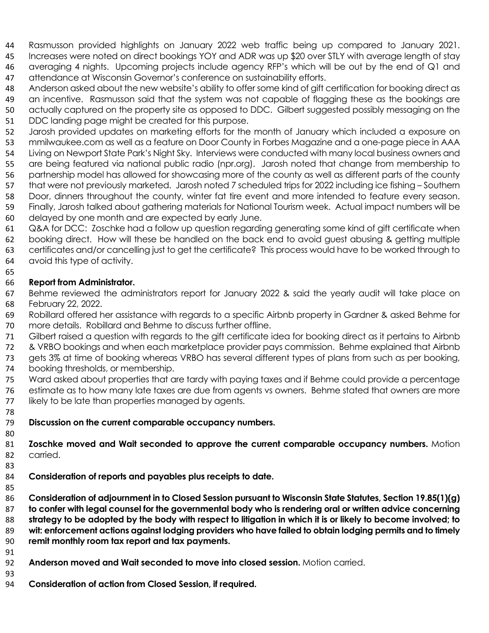- Rasmusson provided highlights on January 2022 web traffic being up compared to January 2021.
- Increases were noted on direct bookings YOY and ADR was up \$20 over STLY with average length of stay 46 averaging 4 nights. Upcoming projects include agency RFP's which will be out by the end of Q1 and attendance at Wisconsin Governor's conference on sustainability efforts.
- Anderson asked about the new website's ability to offer some kind of gift certification for booking direct as
- an incentive. Rasmusson said that the system was not capable of flagging these as the bookings are actually captured on the property site as opposed to DDC. Gilbert suggested possibly messaging on the
- DDC landing page might be created for this purpose.
- Jarosh provided updates on marketing efforts for the month of January which included a exposure on mmilwaukee.com as well as a feature on Door County in Forbes Magazine and a one-page piece in AAA
- Living on Newport State Park's Night Sky. Interviews were conducted with many local business owners and
- are being featured via national public radio (npr.org). Jarosh noted that change from membership to partnership model has allowed for showcasing more of the county as well as different parts of the county
- that were not previously marketed. Jarosh noted 7 scheduled trips for 2022 including ice fishing Southern
- Door, dinners throughout the county, winter fat tire event and more intended to feature every season.
- Finally, Jarosh talked about gathering materials for National Tourism week. Actual impact numbers will be
- delayed by one month and are expected by early June.
- Q&A for DCC: Zoschke had a follow up question regarding generating some kind of gift certificate when booking direct. How will these be handled on the back end to avoid guest abusing & getting multiple certificates and/or cancelling just to get the certificate? This process would have to be worked through to
- avoid this type of activity.
- 

## **Report from Administrator.**

- Behme reviewed the administrators report for January 2022 & said the yearly audit will take place on February 22, 2022.
- Robillard offered her assistance with regards to a specific Airbnb property in Gardner & asked Behme for more details. Robillard and Behme to discuss further offline.
- Gilbert raised a question with regards to the gift certificate idea for booking direct as it pertains to Airbnb
- & VRBO bookings and when each marketplace provider pays commission. Behme explained that Airbnb
- gets 3% at time of booking whereas VRBO has several different types of plans from such as per booking, booking thresholds, or membership.
- Ward asked about properties that are tardy with paying taxes and if Behme could provide a percentage
- estimate as to how many late taxes are due from agents vs owners. Behme stated that owners are more 77 likely to be late than properties managed by agents.
- 

## **Discussion on the current comparable occupancy numbers.**

- **Zoschke moved and Wait seconded to approve the current comparable occupancy numbers.** Motion carried.
	-
	- **Consideration of reports and payables plus receipts to date.**
	-
	- **Consideration of adjournment in to Closed Session pursuant to Wisconsin State Statutes, Section 19.85(1)(g) to confer with legal counsel for the governmental body who is rendering oral or written advice concerning strategy to be adopted by the body with respect to litigation in which it is or likely to become involved; to wit: enforcement actions against lodging providers who have failed to obtain lodging permits and to timely remit monthly room tax report and tax payments.**
	-
	- **Anderson moved and Wait seconded to move into closed session.** Motion carried.
	-
	- **Consideration of action from Closed Session, if required.**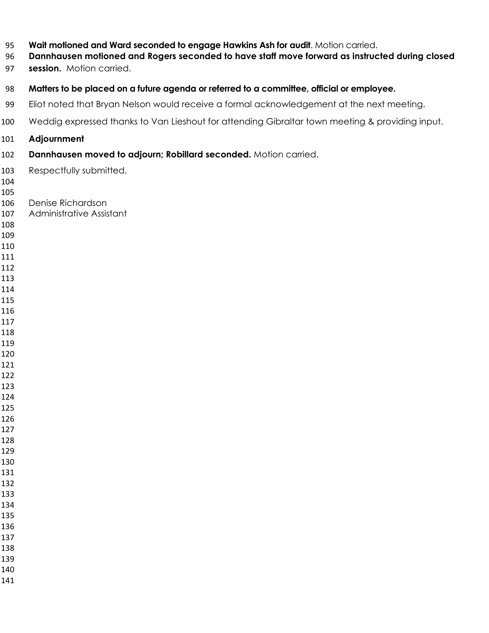- **Wait motioned and Ward seconded to engage Hawkins Ash for audit**. Motion carried.
- **Dannhausen motioned and Rogers seconded to have staff move forward as instructed during closed**
- **session.** Motion carried.
- **Matters to be placed on a future agenda or referred to a committee, official or employee.**
- 99 Eliot noted that Bryan Nelson would receive a formal acknowledgement at the next meeting.
- Weddig expressed thanks to Van Lieshout for attending Gibraltar town meeting & providing input.
- **Adjournment**
- **Dannhausen moved to adjourn; Robillard seconded.** Motion carried.
- Respectfully submitted,
- 
- Denise Richardson
- Administrative Assistant
- 
- 
- 
- 
- 
- 
- 
- 
- 
- 
- 
- 
- 
- 
- 
- 
- 
- 
- 
- 
- 
- 
- 
- 
- 
- 
- 
- 
-